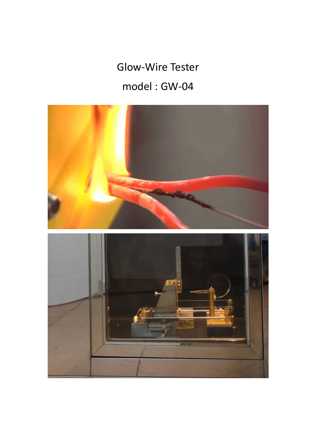Glow-Wire Tester model : GW-04

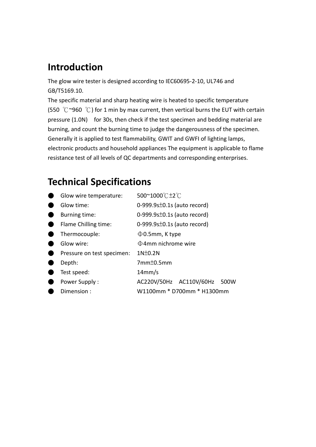## **Introduction**

The glow wire tester is designed according to IEC60695-2-10, UL746 and GB/T5169.10.

The specific material and sharp heating wire is heated to specific temperature (550  $\degree$ C ~960  $\degree$ C) for 1 min by max current, then vertical burns the EUT with certain pressure (1.0N) for 30s, then check if the test specimen and bedding material are burning, and count the burning time to judge the dangerousness of the specimen. Generally it is applied to test flammability, GWIT and GWFI of lighting lamps, electronic products and household appliances The equipment is applicable to flame resistance test of all levels of QC departments and corresponding enterprises.

## **Technical Specifications**

|            | Glow wire temperature:     | 500~1000°C±2°C                  |  |      |
|------------|----------------------------|---------------------------------|--|------|
| Glow time: |                            | $0-999.9s\pm0.1s$ (auto record) |  |      |
|            | Burning time:              | $0-999.9s\pm0.1s$ (auto record) |  |      |
|            | Flame Chilling time:       | $0-999.9s\pm0.1s$ (auto record) |  |      |
|            | Thermocouple:              | $\Phi$ 0.5mm, K type            |  |      |
|            | Glow wire:                 | $\Phi$ 4mm nichrome wire        |  |      |
|            | Pressure on test specimen: | 1N <sub>0.2N</sub>              |  |      |
| Depth:     |                            | 7mm <sub>±</sub> 0.5mm          |  |      |
|            | Test speed:                | $14$ mm/s                       |  |      |
|            | Power Supply:              | AC220V/50Hz AC110V/60Hz         |  | 500W |
|            | Dimension:                 | W1100mm * D700mm * H1300mm      |  |      |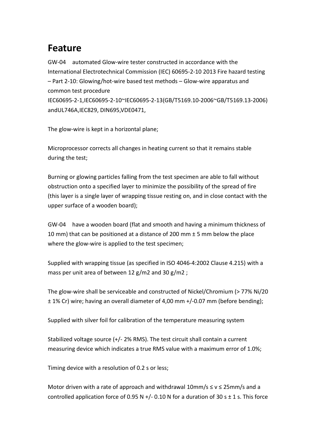## **Feature**

GW-04 automated Glow-wire tester constructed in accordance with the International Electrotechnical Commission (IEC) 60695-2-10 2013 Fire hazard testing – Part 2-10: Glowing/hot-wire based test methods – Glow-wire apparatus and common test procedure

IEC60695-2-1,IEC60695-2-10~IEC60695-2-13(GB/T5169.10-2006~GB/T5169.13-2006) andUL746A,IEC829, DIN695,VDE0471,

The glow-wire is kept in a horizontal plane;

Microprocessor corrects all changes in heating current so that it remains stable during the test;

Burning or glowing particles falling from the test specimen are able to fall without obstruction onto a specified layer to minimize the possibility of the spread of fire (this layer is a single layer of wrapping tissue resting on, and in close contact with the upper surface of a wooden board);

GW-04 have a wooden board (flat and smooth and having a minimum thickness of 10 mm) that can be positioned at a distance of 200 mm  $\pm$  5 mm below the place where the glow-wire is applied to the test specimen;

Supplied with wrapping tissue (as specified in ISO 4046-4:2002 Clause 4.215) with a mass per unit area of between 12 g/m2 and 30 g/m2;

The glow-wire shall be serviceable and constructed of Nickel/Chromium (> 77% Ni/20 ± 1% Cr) wire; having an overall diameter of 4,00 mm +/-0.07 mm (before bending);

Supplied with silver foil for calibration of the temperature measuring system

Stabilized voltage source (+/- 2% RMS). The test circuit shall contain a current measuring device which indicates a true RMS value with a maximum error of 1.0%;

Timing device with a resolution of 0.2 s or less;

Motor driven with a rate of approach and withdrawal 10mm/s  $\leq v \leq 25$ mm/s and a controlled application force of 0.95 N  $+/-$  0.10 N for a duration of 30 s  $\pm$  1 s. This force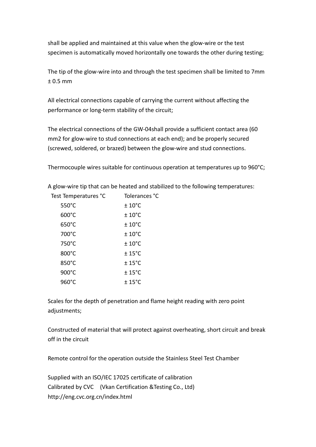shall be applied and maintained at this value when the glow-wire or the test specimen is automatically moved horizontally one towards the other during testing;

The tip of the glow-wire into and through the test specimen shall be limited to 7mm ± 0.5 mm

All electrical connections capable of carrying the current without affecting the performance or long-term stability of the circuit;

The electrical connections of the GW-04shall provide a sufficient contact area (60 mm2 for glow-wire to stud connections at each end); and be properly secured (screwed, soldered, or brazed) between the glow-wire and stud connections.

Thermocouple wires suitable for continuous operation at temperatures up to 960°C;

A glow-wire tip that can be heated and stabilized to the following temperatures:

| Test Temperatures °C | Tolerances °C   |
|----------------------|-----------------|
| 550°C                | $±10^{\circ}$ C |
| 600°C                | $±10^{\circ}$ C |
| 650°C                | ±10°C           |
| 700°C                | ±10°C           |
| 750°C                | $±10^{\circ}$ C |
| 800°C                | $±15^{\circ}$ C |
| 850°C                | $±15^{\circ}$ C |
| 900°C                | $±15^{\circ}$ C |
| 960°C                | $±15^{\circ}$ C |

Scales for the depth of penetration and flame height reading with zero point adjustments;

Constructed of material that will protect against overheating, short circuit and break off in the circuit

Remote control for the operation outside the Stainless Steel Test Chamber

Supplied with an ISO/IEC 17025 certificate of calibration Calibrated by CVC (Vkan Certification &Testing Co., Ltd) http://eng.cvc.org.cn/index.html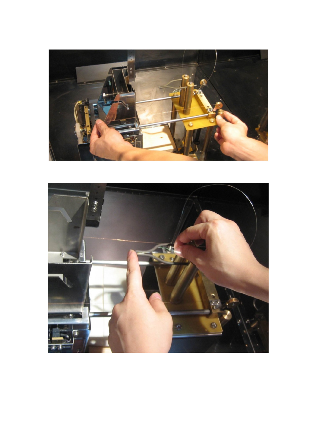

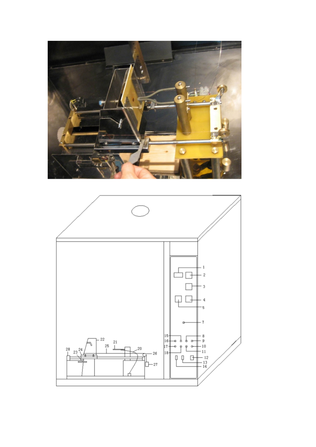